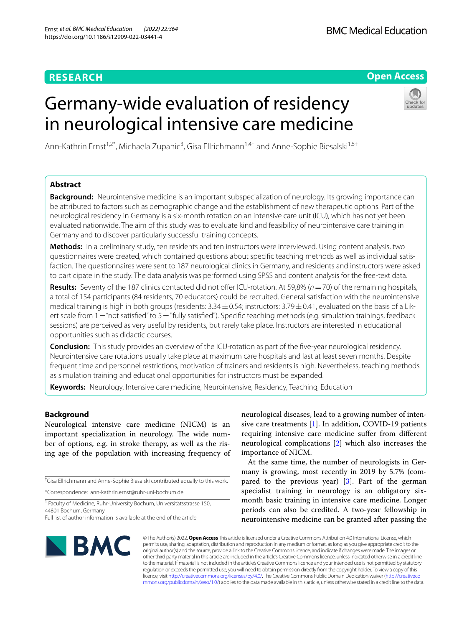## **RESEARCH**

**Open Access**

# Germany-wide evaluation of residency in neurological intensive care medicine



Ann-Kathrin Ernst<sup>1,2\*</sup>, Michaela Zupanic<sup>3</sup>, Gisa Ellrichmann<sup>1,4†</sup> and Anne-Sophie Biesalski<sup>1,5†</sup>

## **Abstract**

**Background:** Neurointensive medicine is an important subspecialization of neurology. Its growing importance can be attributed to factors such as demographic change and the establishment of new therapeutic options. Part of the neurological residency in Germany is a six-month rotation on an intensive care unit (ICU), which has not yet been evaluated nationwide. The aim of this study was to evaluate kind and feasibility of neurointensive care training in Germany and to discover particularly successful training concepts.

**Methods:** In a preliminary study, ten residents and ten instructors were interviewed. Using content analysis, two questionnaires were created, which contained questions about specifc teaching methods as well as individual satis‑ faction. The questionnaires were sent to 187 neurological clinics in Germany, and residents and instructors were asked to participate in the study. The data analysis was performed using SPSS and content analysis for the free-text data.

**Results:** Seventy of the 187 clinics contacted did not offer ICU-rotation. At 59,8% (*n* = 70) of the remaining hospitals, a total of 154 participants (84 residents, 70 educators) could be recruited. General satisfaction with the neurointensive medical training is high in both groups (residents:  $3.34 \pm 0.54$ ; instructors:  $3.79 \pm 0.41$ , evaluated on the basis of a Likert scale from 1="not satisfied" to 5="fully satisfied"). Specific teaching methods (e.g. simulation trainings, feedback sessions) are perceived as very useful by residents, but rarely take place. Instructors are interested in educational opportunities such as didactic courses.

**Conclusion:** This study provides an overview of the ICU-rotation as part of the fve-year neurological residency. Neurointensive care rotations usually take place at maximum care hospitals and last at least seven months. Despite frequent time and personnel restrictions, motivation of trainers and residents is high. Nevertheless, teaching methods as simulation training and educational opportunities for instructors must be expanded.

**Keywords:** Neurology, Intensive care medicine, Neurointensive, Residency, Teaching, Education

## **Background**

Neurological intensive care medicine (NICM) is an important specialization in neurology. The wide number of options, e.g. in stroke therapy, as well as the rising age of the population with increasing frequency of

† Gisa Ellrichmann and Anne-Sophie Biesalski contributed equally to this work.

\*Correspondence: ann-kathrin.ernst@ruhr-uni-bochum.de

<sup>1</sup> Faculty of Medicine, Ruhr-University Bochum, Universitätsstrasse 150, 44801 Bochum, Germany

neurological diseases, lead to a growing number of intensive care treatments [[1](#page-8-0)]. In addition, COVID-19 patients requiring intensive care medicine sufer from diferent neurological complications [[2\]](#page-8-1) which also increases the importance of NICM.

At the same time, the number of neurologists in Germany is growing, most recently in 2019 by 5.7% (compared to the previous year) [\[3](#page-8-2)]. Part of the german specialist training in neurology is an obligatory sixmonth basic training in intensive care medicine. Longer periods can also be credited. A two-year fellowship in neurointensive medicine can be granted after passing the



© The Author(s) 2022. **Open Access** This article is licensed under a Creative Commons Attribution 4.0 International License, which permits use, sharing, adaptation, distribution and reproduction in any medium or format, as long as you give appropriate credit to the original author(s) and the source, provide a link to the Creative Commons licence, and indicate if changes were made. The images or other third party material in this article are included in the article's Creative Commons licence, unless indicated otherwise in a credit line to the material. If material is not included in the article's Creative Commons licence and your intended use is not permitted by statutory regulation or exceeds the permitted use, you will need to obtain permission directly from the copyright holder. To view a copy of this licence, visit [http://creativecommons.org/licenses/by/4.0/.](http://creativecommons.org/licenses/by/4.0/) The Creative Commons Public Domain Dedication waiver ([http://creativeco](http://creativecommons.org/publicdomain/zero/1.0/) [mmons.org/publicdomain/zero/1.0/](http://creativecommons.org/publicdomain/zero/1.0/)) applies to the data made available in this article, unless otherwise stated in a credit line to the data.

Full list of author information is available at the end of the article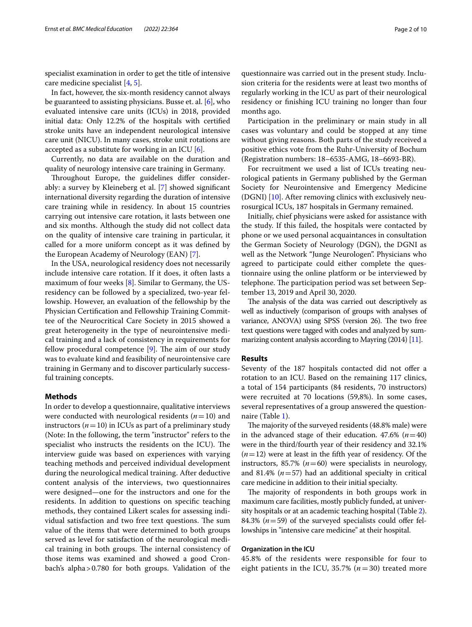specialist examination in order to get the title of intensive care medicine specialist [\[4](#page-8-3), [5\]](#page-8-4).

In fact, however, the six-month residency cannot always be guaranteed to assisting physicians. Busse et. al. [[6\]](#page-8-5), who evaluated intensive care units (ICUs) in 2018, provided initial data: Only 12.2% of the hospitals with certifed stroke units have an independent neurological intensive care unit (NICU). In many cases, stroke unit rotations are accepted as a substitute for working in an ICU  $[6]$  $[6]$ .

Currently, no data are available on the duration and quality of neurology intensive care training in Germany.

Throughout Europe, the guidelines differ considerably: a survey by Kleineberg et al. [[7\]](#page-8-6) showed signifcant international diversity regarding the duration of intensive care training while in residency. In about 15 countries carrying out intensive care rotation, it lasts between one and six months. Although the study did not collect data on the quality of intensive care training in particular, it called for a more uniform concept as it was defned by the European Academy of Neurology (EAN) [[7](#page-8-6)].

In the USA, neurological residency does not necessarily include intensive care rotation. If it does, it often lasts a maximum of four weeks [\[8](#page-8-7)]. Similar to Germany, the USresidency can be followed by a specialized, two-year fellowship. However, an evaluation of the fellowship by the Physician Certifcation and Fellowship Training Committee of the Neurocritical Care Society in 2015 showed a great heterogeneity in the type of neurointensive medical training and a lack of consistency in requirements for fellow procedural competence  $[9]$  $[9]$ . The aim of our study was to evaluate kind and feasibility of neurointensive care training in Germany and to discover particularly successful training concepts.

## **Methods**

In order to develop a questionnaire, qualitative interviews were conducted with neurological residents (*n*=10) and instructors  $(n=10)$  in ICUs as part of a preliminary study (Note: In the following, the term "instructor" refers to the specialist who instructs the residents on the ICU). The interview guide was based on experiences with varying teaching methods and perceived individual development during the neurological medical training. After deductive content analysis of the interviews, two questionnaires were designed—one for the instructors and one for the residents. In addition to questions on specifc teaching methods, they contained Likert scales for assessing individual satisfaction and two free text questions. The sum value of the items that were determined to both groups served as level for satisfaction of the neurological medical training in both groups. The internal consistency of those items was examined and showed a good Cronbach's alpha>0.780 for both groups. Validation of the

questionnaire was carried out in the present study. Inclusion criteria for the residents were at least two months of regularly working in the ICU as part of their neurological residency or fnishing ICU training no longer than four months ago.

Participation in the preliminary or main study in all cases was voluntary and could be stopped at any time without giving reasons. Both parts of the study received a positive ethics vote from the Ruhr-University of Bochum (Registration numbers: 18–6535-AMG, 18–6693-BR).

For recruitment we used a list of ICUs treating neurological patients in Germany published by the German Society for Neurointensive and Emergency Medicine (DGNI) [\[10](#page-8-9)]. After removing clinics with exclusively neurosurgical ICUs, 187 hospitals in Germany remained.

Initially, chief physicians were asked for assistance with the study. If this failed, the hospitals were contacted by phone or we used personal acquaintances in consultation the German Society of Neurology (DGN), the DGNI as well as the Network "Junge Neurologen". Physicians who agreed to participate could either complete the questionnaire using the online platform or be interviewed by telephone. The participation period was set between September 13, 2019 and April 30, 2020.

The analysis of the data was carried out descriptively as well as inductively (comparison of groups with analyses of variance, ANOVA) using SPSS (version 26). The two free text questions were tagged with codes and analyzed by summarizing content analysis according to Mayring (2014) [\[11\]](#page-8-10).

## **Results**

Seventy of the 187 hospitals contacted did not offer a rotation to an ICU. Based on the remaining 117 clinics, a total of 154 participants (84 residents, 70 instructors) were recruited at 70 locations (59,8%). In some cases, several representatives of a group answered the questionnaire (Table [1\)](#page-2-0).

The majority of the surveyed residents (48.8% male) were in the advanced stage of their education.  $47.6\%$  ( $n=40$ ) were in the third/fourth year of their residency and 32.1% (*n*=12) were at least in the ffth year of residency. Of the instructors, 85.7%  $(n=60)$  were specialists in neurology, and 81.4% (*n*=57) had an additional specialty in critical care medicine in addition to their initial specialty.

The majority of respondents in both groups work in maximum care facilities, mostly publicly funded, at university hospitals or at an academic teaching hospital (Table [2](#page-2-1)). 84.3%  $(n=59)$  of the surveyed specialists could offer fellowships in "intensive care medicine" at their hospital.

## **Organization in the ICU**

45.8% of the residents were responsible for four to eight patients in the ICU, 35.7% ( $n = 30$ ) treated more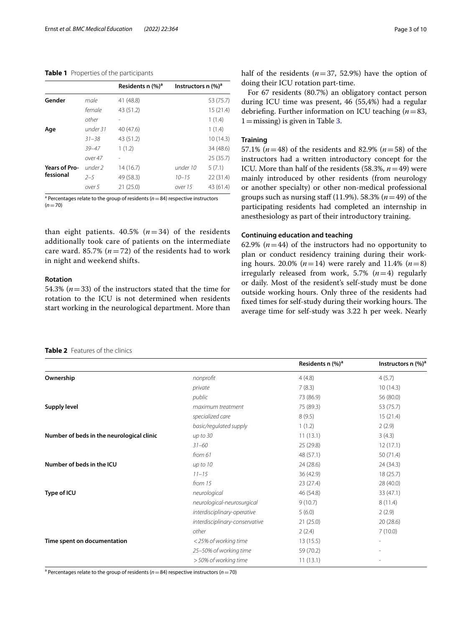## <span id="page-2-0"></span>**Table 1** Properties of the participants

|                    | Residents n (%) <sup>a</sup> | Instructors n $(\%)^a$ |           |
|--------------------|------------------------------|------------------------|-----------|
| male               | 41 (48.8)                    |                        | 53 (75.7) |
| female             | 43 (51.2)                    |                        | 15(21.4)  |
| other              |                              |                        | 1(1.4)    |
| under 31           | 40 (47.6)                    |                        | 1(1.4)    |
| $31 - 38$          | 43 (51.2)                    |                        | 10(14.3)  |
| $39 - 47$          | 1(1.2)                       |                        | 34 (48.6) |
| over 47            |                              |                        | 25(35.7)  |
| under <sub>2</sub> | 14(16.7)                     | under 10               | 5(7.1)    |
| $2 - 5$            | 49 (58.3)                    | $10 - 15$              | 22(31.4)  |
| over 5             | 21(25.0)                     | over 15                | 43 (61.4) |
|                    |                              |                        |           |

a Percentages relate to the group of residents (*n*=84) respective instructors  $(n=70)$ 

than eight patients.  $40.5\%$  ( $n = 34$ ) of the residents additionally took care of patients on the intermediate care ward. 85.7%  $(n=72)$  of the residents had to work in night and weekend shifts.

## **Rotation**

54.3% (*n*=33) of the instructors stated that the time for rotation to the ICU is not determined when residents start working in the neurological department. More than half of the residents  $(n=37, 52.9%)$  have the option of doing their ICU rotation part-time.

For 67 residents (80.7%) an obligatory contact person during ICU time was present, 46 (55,4%) had a regular debriefng. Further information on ICU teaching (*n*=83,  $1 =$ missing) is given in Table [3](#page-3-0).

## **Training**

57.1% (*n*=48) of the residents and 82.9% (*n*=58) of the instructors had a written introductory concept for the ICU. More than half of the residents (58.3%, *n*=49) were mainly introduced by other residents (from neurology or another specialty) or other non-medical professional groups such as nursing staff  $(11.9\%)$ . 58.3%  $(n=49)$  of the participating residents had completed an internship in anesthesiology as part of their introductory training.

## **Continuing education and teaching**

62.9%  $(n=44)$  of the instructors had no opportunity to plan or conduct residency training during their working hours. 20.0% (*n*=14) were rarely and 11.4% (*n*=8) irregularly released from work, 5.7%  $(n=4)$  regularly or daily. Most of the resident's self-study must be done outside working hours. Only three of the residents had fixed times for self-study during their working hours. The average time for self-study was 3.22 h per week. Nearly

## <span id="page-2-1"></span>**Table 2** Features of the clinics

|                                           |                                | Residents n (%) <sup>a</sup> | Instructors n $(\%)^a$ |
|-------------------------------------------|--------------------------------|------------------------------|------------------------|
| Ownership                                 | nonprofit                      | 4(4.8)                       | 4(5.7)                 |
|                                           | private                        | 7(8.3)                       | 10(14.3)               |
|                                           | public                         | 73 (86.9)                    | 56 (80.0)              |
| Supply level                              | maximum treatment              | 75 (89.3)                    | 53 (75.7)              |
|                                           | specialized care               | 8(9.5)                       | 15(21.4)               |
|                                           | basic/regulated supply         | 1(1.2)                       | 2(2.9)                 |
| Number of beds in the neurological clinic | up to 30                       | 11(13.1)                     | 3(4.3)                 |
|                                           | $31 - 60$                      | 25 (29.8)                    | 12(17.1)               |
|                                           | from $61$                      | 48 (57.1)                    | 50(71.4)               |
| Number of beds in the ICU                 | up to $10$                     | 24 (28.6)                    | 24(34.3)               |
|                                           | $11 - 15$                      | 36 (42.9)                    | 18(25.7)               |
|                                           | from 15                        | 23(27.4)                     | 28 (40.0)              |
| Type of ICU                               | neurological                   | 46 (54.8)                    | 33(47.1)               |
|                                           | neurological-neurosurgical     | 9(10.7)                      | 8(11.4)                |
|                                           | interdisciplinary-operative    | 5(6.0)                       | 2(2.9)                 |
|                                           | interdisciplinary-conservative | 21(25.0)                     | 20(28.6)               |
|                                           | other                          | 2(2.4)                       | 7(10.0)                |
| Time spent on documentation               | <25% of working time           | 13(15.5)                     | $\overline{a}$         |
|                                           | 25-50% of working time         | 59 (70.2)                    |                        |
|                                           | > 50% of working time          | 11(13.1)                     | -                      |

a Percentages relate to the group of residents (*n*=84) respective instructors (*n*=70)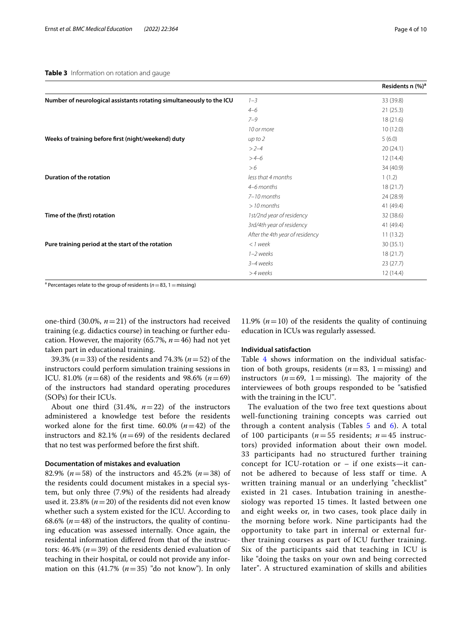<span id="page-3-0"></span>

|                                                                      |                                 | Residents n $(\%)^a$ |
|----------------------------------------------------------------------|---------------------------------|----------------------|
| Number of neurological assistants rotating simultaneously to the ICU | $1 - 3$                         | 33 (39.8)            |
|                                                                      | $4 - 6$                         | 21(25.3)             |
|                                                                      | $7 - 9$                         | 18(21.6)             |
|                                                                      | 10 or more                      | 10(12.0)             |
| Weeks of training before first (night/weekend) duty                  | up to 2                         | 5(6.0)               |
|                                                                      | $>2-4$                          | 20(24.1)             |
|                                                                      | $>4-6$                          | 12(14.4)             |
|                                                                      | >6                              | 34 (40.9)            |
| Duration of the rotation                                             | less that 4 months              | 1(1.2)               |
|                                                                      | 4-6 months                      | 18(21.7)             |
|                                                                      | $7-10$ months                   | 24 (28.9)            |
|                                                                      | $>10$ months                    | 41 (49.4)            |
| Time of the (first) rotation                                         | 1st/2nd year of residency       | 32 (38.6)            |
|                                                                      | 3rd/4th year of residency       | 41 (49.4)            |
|                                                                      | After the 4th year of residency | 11(13.2)             |
| Pure training period at the start of the rotation                    | $<$ 1 week                      | 30(35.1)             |
|                                                                      | 1-2 weeks                       | 18(21.7)             |
|                                                                      | 3-4 weeks                       | 23(27.7)             |
|                                                                      | >4 weeks                        | 12(14.4)             |

<sup>a</sup> Percentages relate to the group of residents (*n* = 83, 1 = missing)

one-third  $(30.0\%, n=21)$  of the instructors had received training (e.g. didactics course) in teaching or further education. However, the majority  $(65.7\%, n=46)$  had not yet taken part in educational training.

39.3% (*n*=33) of the residents and 74.3% (*n*=52) of the instructors could perform simulation training sessions in ICU. 81.0% ( $n=68$ ) of the residents and 98.6% ( $n=69$ ) of the instructors had standard operating procedures (SOPs) for their ICUs.

About one third  $(31.4\%, n=22)$  of the instructors administered a knowledge test before the residents worked alone for the first time.  $60.0\%$   $(n=42)$  of the instructors and 82.1%  $(n=69)$  of the residents declared that no test was performed before the frst shift.

## **Documentation of mistakes and evaluation**

82.9% (*n*=58) of the instructors and 45.2% (*n*=38) of the residents could document mistakes in a special system, but only three (7.9%) of the residents had already used it. 23.8% ( $n=20$ ) of the residents did not even know whether such a system existed for the ICU. According to 68.6%  $(n=48)$  of the instructors, the quality of continuing education was assessed internally. Once again, the residental information difered from that of the instructors: 46.4% (*n*=39) of the residents denied evaluation of teaching in their hospital, or could not provide any information on this  $(41.7\%~(n=35)$  "do not know"). In only

11.9% ( $n=10$ ) of the residents the quality of continuing education in ICUs was regularly assessed.

## **Individual satisfaction**

Table [4](#page-4-0) shows information on the individual satisfaction of both groups, residents  $(n=83, 1=$ missing) and instructors  $(n=69, 1=$ missing). The majority of the interviewees of both groups responded to be "satisfed with the training in the ICU".

The evaluation of the two free text questions about well-functioning training concepts was carried out through a content analysis (Tables  $5$  and  $6$ ). A total of 100 participants ( $n = 55$  residents;  $n = 45$  instructors) provided information about their own model. 33 participants had no structured further training concept for ICU-rotation or – if one exists—it cannot be adhered to because of less staff or time. A written training manual or an underlying "checklist" existed in 21 cases. Intubation training in anesthesiology was reported 15 times. It lasted between one and eight weeks or, in two cases, took place daily in the morning before work. Nine participants had the opportunity to take part in internal or external further training courses as part of ICU further training. Six of the participants said that teaching in ICU is like "doing the tasks on your own and being corrected later". A structured examination of skills and abilities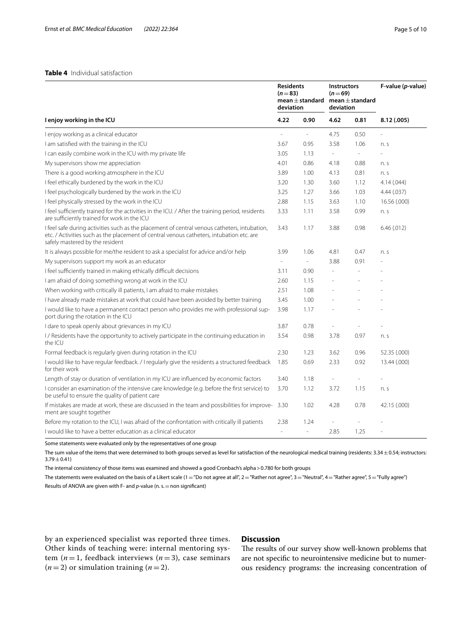## <span id="page-4-0"></span>**Table 4** Individual satisfaction

| I enjoy working in the ICU                                                                                                                                                                                                  |               | <b>Residents</b><br>$(n=83)$<br>mean $\pm$ standard<br>deviation |                          | <b>Instructors</b><br>$(n=69)$<br>mean $\pm$ standard<br>deviation | F-value (p-value) |
|-----------------------------------------------------------------------------------------------------------------------------------------------------------------------------------------------------------------------------|---------------|------------------------------------------------------------------|--------------------------|--------------------------------------------------------------------|-------------------|
|                                                                                                                                                                                                                             |               | 0.90                                                             | 4.62                     | 0.81                                                               | 8.12 (.005)       |
| I enjoy working as a clinical educator                                                                                                                                                                                      |               | ÷,                                                               | 4.75                     | 0.50                                                               |                   |
| I am satisfied with the training in the ICU                                                                                                                                                                                 | 3.67          | 0.95                                                             | 3.58                     | 1.06                                                               | n. s              |
| I can easily combine work in the ICU with my private life                                                                                                                                                                   | 3.05          | 1.13                                                             | $\overline{\phantom{a}}$ | $\overline{\phantom{a}}$                                           |                   |
| My supervisors show me appreciation                                                                                                                                                                                         | 4.01          | 0.86                                                             | 4.18                     | 0.88                                                               | n. s              |
| There is a good working atmosphere in the ICU                                                                                                                                                                               | 3.89          | 1.00                                                             | 4.13                     | 0.81                                                               | n. s              |
| I feel ethically burdened by the work in the ICU                                                                                                                                                                            | 3.20          | 1.30                                                             | 3.60                     | 1.12                                                               | 4.14(.044)        |
| I feel psychologically burdened by the work in the ICU                                                                                                                                                                      | 3.25          | 1.27                                                             | 3.66                     | 1.03                                                               | 4.44 (.037)       |
| I feel physically stressed by the work in the ICU                                                                                                                                                                           | 2.88          | 1.15                                                             | 3.63                     | 1.10                                                               | 16.56 (.000)      |
| I feel sufficiently trained for the activities in the ICU. / After the training period, residents<br>are sufficiently trained for work in the ICU                                                                           | 3.33          | 1.11                                                             | 3.58                     | 0.99                                                               | n. s              |
| I feel safe during activities such as the placement of central venous catheters, intubation,<br>etc. / Activities such as the placement of central venous catheters, intubation etc. are<br>safely mastered by the resident | 3.43          | 1.17                                                             | 3.88                     | 0.98                                                               | 6.46(012)         |
| It is always possible for me/the resident to ask a specialist for advice and/or help                                                                                                                                        | 3.99          | 1.06                                                             | 4.81                     | 0.47                                                               | n. s              |
| My supervisors support my work as an educator                                                                                                                                                                               | $\frac{1}{2}$ | $\overline{\phantom{a}}$                                         | 3.88                     | 0.91                                                               |                   |
| I feel sufficiently trained in making ethically difficult decisions                                                                                                                                                         | 3.11          | 0.90                                                             |                          |                                                                    |                   |
| I am afraid of doing something wrong at work in the ICU                                                                                                                                                                     | 2.60          | 1.15                                                             |                          |                                                                    |                   |
| When working with critically ill patients, I am afraid to make mistakes                                                                                                                                                     | 2.51          | 1.08                                                             |                          |                                                                    |                   |
| I have already made mistakes at work that could have been avoided by better training                                                                                                                                        | 3.45          | 1.00                                                             |                          |                                                                    |                   |
| I would like to have a permanent contact person who provides me with professional sup-<br>port during the rotation in the ICU                                                                                               | 3.98          | 1.17                                                             |                          |                                                                    |                   |
| I dare to speak openly about grievances in my ICU                                                                                                                                                                           | 3.87          | 0.78                                                             | Ĭ.                       |                                                                    |                   |
| I/Residents have the opportunity to actively participate in the continuing education in<br>the ICU                                                                                                                          | 3.54          | 0.98                                                             | 3.78                     | 0.97                                                               | n. s              |
| Formal feedback is regularly given during rotation in the ICU                                                                                                                                                               | 2.30          | 1.23                                                             | 3.62                     | 0.96                                                               | 52.35 (.000)      |
| I would like to have regular feedback. / I regularly give the residents a structured feedback<br>for their work                                                                                                             | 1.85          | 0.69                                                             | 2.33                     | 0.92                                                               | 13.44 (.000)      |
| Length of stay or duration of ventilation in my ICU are influenced by economic factors                                                                                                                                      | 3.40          | 1.18                                                             |                          |                                                                    |                   |
| I consider an examination of the intensive care knowledge (e.g. before the first service) to<br>be useful to ensure the quality of patient care                                                                             | 3.70          | 1.12                                                             | 3.72                     | 1.15                                                               | n. s              |
| If mistakes are made at work, these are discussed in the team and possibilities for improve- 3.30<br>ment are sought together                                                                                               |               | 1.02                                                             | 4.28                     | 0.78                                                               | 42.15 (.000)      |
| Before my rotation to the ICU, I was afraid of the confrontation with critically ill patients                                                                                                                               | 2.38          | 1.24                                                             |                          |                                                                    |                   |
| I would like to have a better education as a clinical educator                                                                                                                                                              |               | ÷                                                                | 2.85                     | 1.25                                                               |                   |

Some statements were evaluated only by the representatives of one group

The sum value of the items that were determined to both groups served as level for satisfaction of the neurological medical training (residents: 3.34±0.54; instructors:  $3.79 \pm 0.41$ )

The internal consistency of those items was examined and showed a good Cronbach's alpha>0.780 for both groups

The statements were evaluated on the basis of a Likert scale (1 = "Do not agree at all",  $2$  = "Rather not agree",  $3$  = "Neutral",  $4$  = "Rather agree",  $5$  = "Fully agree") Results of ANOVA are given with F- and *p*-value (n. s. = non significant)

by an experienced specialist was reported three times. Other kinds of teaching were: internal mentoring system  $(n=1,$  feedback interviews  $(n=3)$ , case seminars  $(n=2)$  or simulation training  $(n=2)$ .

## **Discussion**

The results of our survey show well-known problems that are not specifc to neurointensive medicine but to numerous residency programs: the increasing concentration of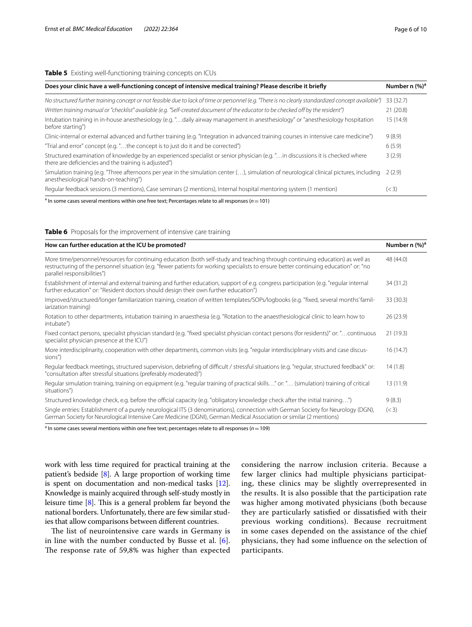<span id="page-5-0"></span>**Table 5** Existing well-functioning training concepts on ICUs

| Does your clinic have a well-functioning concept of intensive medical training? Please describe it briefly                                                                             | Number n (%) <sup>a</sup> |
|----------------------------------------------------------------------------------------------------------------------------------------------------------------------------------------|---------------------------|
| No structured further training concept or not feasible due to lack of time or personnel (e.g. "There is no clearly standardized concept available")                                    | 33 (32.7)                 |
| Written training manual or "checklist" available (e.g. "Self-created document of the educator to be checked off by the resident")                                                      | 21(20.8)                  |
| Intubation training in in-house anesthesiology (e.g. "daily airway management in anesthesiology" or "anesthesiology hospitation<br>before starting")                                   | 15(14.9)                  |
| Clinic-internal or external advanced and further training (e.g. "Integration in advanced training courses in intensive care medicine")                                                 | 9(8.9)                    |
| "Trial and error" concept (e.g. "the concept is to just do it and be corrected")                                                                                                       | 6(5.9)                    |
| Structured examination of knowledge by an experienced specialist or senior physician (e.g."in discussions it is checked where<br>there are deficiencies and the training is adjusted") | 3(2.9)                    |
| Simulation training (e.g. "Three afternoons per year in the simulation center (), simulation of neurological clinical pictures, including<br>anesthesiological hands-on-teaching")     | 2(2.9)                    |
| Regular feedback sessions (3 mentions), Case seminars (2 mentions), Internal hospital mentoring system (1 mention)                                                                     | (< 3)                     |

a In some cases several mentions within one free text; Percentages relate to all responses (*n*=101)

<span id="page-5-1"></span>

|  |  | Table 6 Proposals for the improvement of intensive care training |  |  |
|--|--|------------------------------------------------------------------|--|--|
|--|--|------------------------------------------------------------------|--|--|

| How can further education at the ICU be promoted?                                                                                                                                                                                                                                                     | Number n (%) <sup>a</sup> |
|-------------------------------------------------------------------------------------------------------------------------------------------------------------------------------------------------------------------------------------------------------------------------------------------------------|---------------------------|
| More time/personnel/resources for continuing education (both self-study and teaching through continuing education) as well as<br>restructuring of the personnel situation (e.g. "fewer patients for working specialists to ensure better continuing education" or: "no<br>parallel responsibilities") | 48 (44.0)                 |
| Establishment of internal and external training and further education, support of e.g. congress participation (e.g. "regular internal<br>further education" or: "Resident doctors should design their own further education")                                                                         | 34 (31.2)                 |
| Improved/structured/longer familiarization training, creation of written templates/SOPs/logbooks (e.g. "fixed, several months' famil-<br>iarization training)                                                                                                                                         | 33 (30.3)                 |
| Rotation to other departments, intubation training in anaesthesia (e.g. "Rotation to the anaesthesiological clinic to learn how to<br>intubate")                                                                                                                                                      | 26(23.9)                  |
| Fixed contact persons, specialist physician standard (e.g. "fixed specialist physician contact persons (for residents)" or: "continuous<br>specialist physician presence at the ICU")                                                                                                                 | 21(19.3)                  |
| More interdisciplinarity, cooperation with other departments, common visits (e.g. "regular interdisciplinary visits and case discus-<br>sions")                                                                                                                                                       | 16(14.7)                  |
| Regular feedback meetings, structured supervision, debriefing of difficult / stressful situations (e.g. "regular, structured feedback" or:<br>"consultation after stressful situations (preferably moderated)")                                                                                       | 14(1.8)                   |
| Regular simulation training, training on equipment (e.g. "regular training of practical skills" or: " (simulation) training of critical<br>situations")                                                                                                                                               | 13(11.9)                  |
| Structured knowledge check, e.g. before the official capacity (e.g. "obligatory knowledge check after the initial training")                                                                                                                                                                          | 9(8.3)                    |
| Single entries: Establishment of a purely neurological ITS (3 denominations), connection with German Society for Neurology (DGN),<br>German Society for Neurological Intensive Care Medicine (DGNI), German Medical Association or similar (2 mentions)                                               | (< 3)                     |

<sup>a</sup> In some cases several mentions within one free text; percentages relate to all responses (*n* = 109)

work with less time required for practical training at the patient's bedside [\[8](#page-8-7)]. A large proportion of working time is spent on documentation and non-medical tasks [[12](#page-8-11)]. Knowledge is mainly acquired through self-study mostly in leisure time  $[8]$  $[8]$  $[8]$ . This is a general problem far beyond the national borders. Unfortunately, there are few similar studies that allow comparisons between diferent countries.

The list of neurointensive care wards in Germany is in line with the number conducted by Busse et al. [[6\]](#page-8-5). The response rate of 59,8% was higher than expected considering the narrow inclusion criteria. Because a few larger clinics had multiple physicians participating, these clinics may be slightly overrepresented in the results. It is also possible that the participation rate was higher among motivated physicians (both because they are particularly satisfed or dissatisfed with their previous working conditions). Because recruitment in some cases depended on the assistance of the chief physicians, they had some infuence on the selection of participants.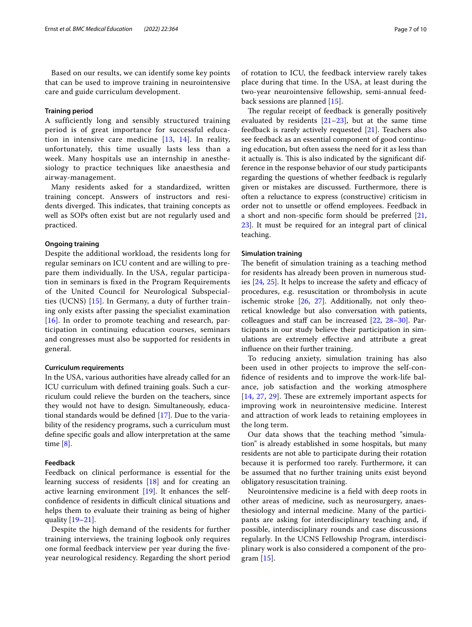Based on our results, we can identify some key points that can be used to improve training in neurointensive care and guide curriculum development.

## **Training period**

A sufficiently long and sensibly structured training period is of great importance for successful education in intensive care medicine  $[13, 14]$  $[13, 14]$  $[13, 14]$  $[13, 14]$  $[13, 14]$ . In reality, unfortunately, this time usually lasts less than a week. Many hospitals use an internship in anesthesiology to practice techniques like anaesthesia and airway-management.

Many residents asked for a standardized, written training concept. Answers of instructors and residents diverged. This indicates, that training concepts as well as SOPs often exist but are not regularly used and practiced.

## **Ongoing training**

Despite the additional workload, the residents long for regular seminars on ICU content and are willing to prepare them individually. In the USA, regular participation in seminars is fxed in the Program Requirements of the United Council for Neurological Subspecialties (UCNS) [[15\]](#page-9-2). In Germany, a duty of further training only exists after passing the specialist examination  $[16]$  $[16]$  $[16]$ . In order to promote teaching and research, participation in continuing education courses, seminars and congresses must also be supported for residents in general.

## **Curriculum requirements**

In the USA, various authorities have already called for an ICU curriculum with defned training goals. Such a curriculum could relieve the burden on the teachers, since they would not have to design. Simultaneously, educational standards would be defned [\[17](#page-9-4)]. Due to the variability of the residency programs, such a curriculum must defne specifc goals and allow interpretation at the same time [[8\]](#page-8-7).

## **Feedback**

Feedback on clinical performance is essential for the learning success of residents [[18\]](#page-9-5) and for creating an active learning environment [\[19\]](#page-9-6). It enhances the selfconfidence of residents in difficult clinical situations and helps them to evaluate their training as being of higher quality [\[19–](#page-9-6)[21\]](#page-9-7).

Despite the high demand of the residents for further training interviews, the training logbook only requires one formal feedback interview per year during the fveyear neurological residency. Regarding the short period

of rotation to ICU, the feedback interview rarely takes place during that time. In the USA, at least during the two-year neurointensive fellowship, semi-annual feedback sessions are planned [\[15\]](#page-9-2).

The regular receipt of feedback is generally positively evaluated by residents  $[21-23]$  $[21-23]$  $[21-23]$ , but at the same time feedback is rarely actively requested [[21](#page-9-7)]. Teachers also see feedback as an essential component of good continuing education, but often assess the need for it as less than it actually is. This is also indicated by the significant difference in the response behavior of our study participants regarding the questions of whether feedback is regularly given or mistakes are discussed. Furthermore, there is often a reluctance to express (constructive) criticism in order not to unsettle or ofend employees. Feedback in a short and non-specifc form should be preferred [[21](#page-9-7), [23\]](#page-9-8). It must be required for an integral part of clinical teaching.

## **Simulation training**

The benefit of simulation training as a teaching method for residents has already been proven in numerous studies  $[24, 25]$  $[24, 25]$  $[24, 25]$  $[24, 25]$ . It helps to increase the safety and efficacy of procedures, e.g. resuscitation or thrombolysis in acute ischemic stroke [[26](#page-9-11), [27\]](#page-9-12). Additionally, not only theoretical knowledge but also conversation with patients, colleagues and staff can be increased  $[22, 28-30]$  $[22, 28-30]$  $[22, 28-30]$  $[22, 28-30]$ . Participants in our study believe their participation in simulations are extremely efective and attribute a great infuence on their further training.

To reducing anxiety, simulation training has also been used in other projects to improve the self-confdence of residents and to improve the work-life balance, job satisfaction and the working atmosphere  $[14, 27, 29]$  $[14, 27, 29]$  $[14, 27, 29]$  $[14, 27, 29]$  $[14, 27, 29]$  $[14, 27, 29]$  $[14, 27, 29]$ . These are extremely important aspects for improving work in neurointensive medicine. Interest and attraction of work leads to retaining employees in the long term.

Our data shows that the teaching method "simulation" is already established in some hospitals, but many residents are not able to participate during their rotation because it is performed too rarely. Furthermore, it can be assumed that no further training units exist beyond obligatory resuscitation training.

Neurointensive medicine is a feld with deep roots in other areas of medicine, such as neurosurgery, anaesthesiology and internal medicine. Many of the participants are asking for interdisciplinary teaching and, if possible, interdisciplinary rounds and case discussions regularly. In the UCNS Fellowship Program, interdisciplinary work is also considered a component of the program [[15](#page-9-2)].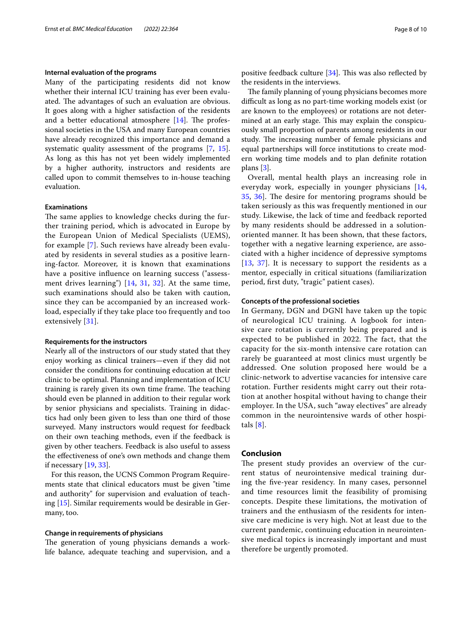## **Internal evaluation of the programs**

Many of the participating residents did not know whether their internal ICU training has ever been evaluated. The advantages of such an evaluation are obvious. It goes along with a higher satisfaction of the residents and a better educational atmosphere  $[14]$  $[14]$ . The professional societies in the USA and many European countries have already recognized this importance and demand a systematic quality assessment of the programs [[7,](#page-8-6) [15](#page-9-2)]. As long as this has not yet been widely implemented by a higher authority, instructors and residents are called upon to commit themselves to in-house teaching evaluation.

## **Examinations**

The same applies to knowledge checks during the further training period, which is advocated in Europe by the European Union of Medical Specialists (UEMS), for example [\[7](#page-8-6)]. Such reviews have already been evaluated by residents in several studies as a positive learning-factor. Moreover, it is known that examinations have a positive infuence on learning success ("assessment drives learning") [\[14](#page-9-1), [31,](#page-9-17) [32](#page-9-18)]. At the same time, such examinations should also be taken with caution, since they can be accompanied by an increased workload, especially if they take place too frequently and too extensively [[31\]](#page-9-17).

#### **Requirements for the instructors**

Nearly all of the instructors of our study stated that they enjoy working as clinical trainers—even if they did not consider the conditions for continuing education at their clinic to be optimal. Planning and implementation of ICU training is rarely given its own time frame. The teaching should even be planned in addition to their regular work by senior physicians and specialists. Training in didactics had only been given to less than one third of those surveyed. Many instructors would request for feedback on their own teaching methods, even if the feedback is given by other teachers. Feedback is also useful to assess the efectiveness of one's own methods and change them if necessary [[19](#page-9-6), [33\]](#page-9-19).

For this reason, the UCNS Common Program Requirements state that clinical educators must be given "time and authority" for supervision and evaluation of teaching [\[15](#page-9-2)]. Similar requirements would be desirable in Germany, too.

#### **Change in requirements of physicians**

The generation of young physicians demands a worklife balance, adequate teaching and supervision, and a positive feedback culture  $[34]$ . This was also reflected by the residents in the interviews.

The family planning of young physicians becomes more difcult as long as no part-time working models exist (or are known to the employees) or rotations are not determined at an early stage. This may explain the conspicuously small proportion of parents among residents in our study. The increasing number of female physicians and equal partnerships will force institutions to create modern working time models and to plan defnite rotation plans [[3\]](#page-8-2).

Overall, mental health plays an increasing role in everyday work, especially in younger physicians [\[14](#page-9-1), [35,](#page-9-21) [36](#page-9-22)]. The desire for mentoring programs should be taken seriously as this was frequently mentioned in our study. Likewise, the lack of time and feedback reported by many residents should be addressed in a solutionoriented manner. It has been shown, that these factors, together with a negative learning experience, are associated with a higher incidence of depressive symptoms [[13](#page-9-0), [37\]](#page-9-23). It is necessary to support the residents as a mentor, especially in critical situations (familiarization period, frst duty, "tragic" patient cases).

## **Concepts of the professional societies**

In Germany, DGN and DGNI have taken up the topic of neurological ICU training. A logbook for intensive care rotation is currently being prepared and is expected to be published in 2022. The fact, that the capacity for the six-month intensive care rotation can rarely be guaranteed at most clinics must urgently be addressed. One solution proposed here would be a clinic-network to advertise vacancies for intensive care rotation. Further residents might carry out their rotation at another hospital without having to change their employer. In the USA, such "away electives" are already common in the neurointensive wards of other hospitals [[8\]](#page-8-7).

## **Conclusion**

The present study provides an overview of the current status of neurointensive medical training during the fve-year residency. In many cases, personnel and time resources limit the feasibility of promising concepts. Despite these limitations, the motivation of trainers and the enthusiasm of the residents for intensive care medicine is very high. Not at least due to the current pandemic, continuing education in neurointensive medical topics is increasingly important and must therefore be urgently promoted.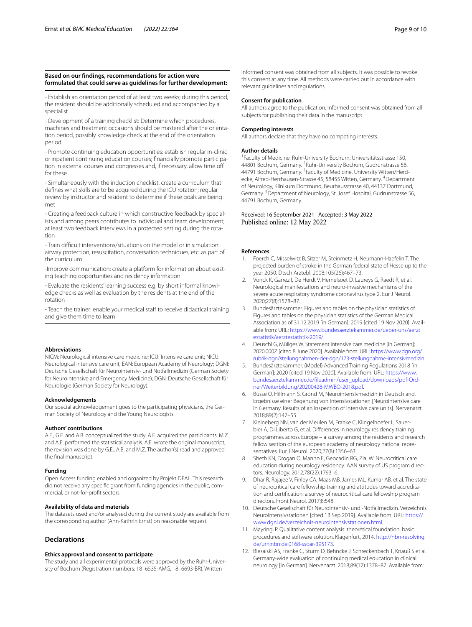#### **Based on our fndings, recommendations for action were formulated that could serve as guidelines for further development:**

- Establish an orientation period of at least two weeks; during this period, the resident should be additionally scheduled and accompanied by a specialist

- Development of a training checklist: Determine which procedures, machines and treatment occasions should be mastered after the orientation period, possibly knowledge check at the end of the orientation period

- Promote continuing education opportunities: establish regular in-clinic or inpatient continuing education courses; financially promote participation in external courses and congresses and, if necessary, allow time of for these

- Simultaneously with the induction checklist, create a curriculum that defnes what skills are to be acquired during the ICU rotation; regular review by instructor and resident to determine if these goals are being met

- Creating a feedback culture in which constructive feedback by specialists and among peers contributes to individual and team development; at least two feedback interviews in a protected setting during the rotation

- Train difcult interventions/situations on the model or in simulation: airway protection, resuscitation, conversation techniques, etc. as part of the curriculum

-Improve communication: create a platform for information about existing teaching opportunities and residency information

- Evaluate the residents' learning success e.g. by short informal knowledge checks as well as evaluation by the residents at the end of the rotation

- Teach the trainer: enable your medical staff to receive didactical training and give them time to learn

#### **Abbreviations**

NICM: Neurological intensive care medicine; ICU: Intensive care unit; NICU: Neurological intensive care unit; EAN: European Academy of Neurology; DGNI: Deutsche Gesellschaft für Neurointensiv- und Notfallmedizin (German Society for Neurointensive and Emergency Medicine); DGN: Deutsche Gesellschaft für Neurologie (German Society for Neurology).

#### **Acknowledgements**

Our special acknowledgement goes to the participating physicians, the German Society of Neurology and the Young Neurologists.

#### **Authors' contributions**

A.E., G.E. and A.B. conceptualized the study. A.E. acquired the participants. M.Z. and A.E. performed the statistical analysis. A.E. wrote the original manuscript, the revision was done by G.E., A.B. and M.Z. The author(s) read and approved the fnal manuscript.

#### **Funding**

Open Access funding enabled and organized by Projekt DEAL. This research did not receive any specific grant from funding agencies in the public, commercial, or not-for-proft sectors.

#### **Availability of data and materials**

The datasets used and/or analysed during the current study are available from the corresponding author (Ann-Kathrin Ernst) on reasonable request.

## **Declarations**

#### **Ethics approval and consent to participate**

The study and all experimental protocols were approved by the Ruhr-University of Bochum (Registration numbers: 18–6535-AMG, 18–6693-BR). Written

informed consent was obtained from all subjects. It was possible to revoke this consent at any time. All methods were carried out in accordance with relevant guidelines and regulations.

#### **Consent for publication**

All authors agree to the publication. Informed consent was obtained from all subjects for publishing their data in the manuscript.

#### **Competing interests**

All authors declare that they have no competing interests.

#### **Author details**

1 Faculty of Medicine, Ruhr-University Bochum, Universitätsstrasse 150, 44801 Bochum, Germany. <sup>2</sup> Ruhr-University Bochum, Gudrunstrasse 56, 44791 Bochum, Germany. <sup>3</sup> Faculty of Medicine, University Witten/Herdecke, Alfred-Herrhausen-Strasse 45, 58455 Witten, Germany. <sup>4</sup>Department of Neurology, Klinikum Dortmund, Beurhausstrasse 40, 44137 Dortmund, Germany.<sup>5</sup> Department of Neurology, St. Josef Hospital, Gudrunstrasse 56, 44791 Bochum, Germany.

## Received: 16 September 2021 Accepted: 3 May 2022 Published online: 12 May 2022

#### **References**

- <span id="page-8-0"></span>1. Foerch C, Misselwitz B, Sitzer M, Steinmetz H, Neumann-Haefelin T. The projected burden of stroke in the German federal state of Hesse up to the year 2050. Dtsch Arztebl. 2008;105(26):467–73.
- <span id="page-8-1"></span>2. Vonck K, Garrez I, De Herdt V, Hemelsoet D, Laureys G, Raedt R, et al. Neurological manifestations and neuro-invasive mechanisms of the severe acute respiratory syndrome coronavirus type 2. Eur J Neurol. 2020;27(8):1578–87.
- <span id="page-8-2"></span>3. Bundesärztekammer. Figures and tables on the physician statistics of Figures and tables on the physician statistics of the German Medical Association as of 31.12.2019 [in German]; 2019 [cited 19 Nov 2020]. Avail‑ able from: URL: [https://www.bundesaerztekammer.de/ueber-uns/aerzt](https://www.bundesaerztekammer.de/ueber-uns/aerztestatistik/aerztestatistik-2019/) [estatistik/aerztestatistik-2019/](https://www.bundesaerztekammer.de/ueber-uns/aerztestatistik/aerztestatistik-2019/).
- <span id="page-8-3"></span>4. Deuschl G, Müllges W. Statement intensive care medicine [in German]; 2020.000Z [cited 8 June 2020]. Available from: URL: [https://www.dgn.org/](https://www.dgn.org/rubrik-dgn/stellungnahmen-der-dgn/173-stellungnahme-intensivmedizin) [rubrik-dgn/stellungnahmen-der-dgn/173-stellungnahme-intensivmedizin.](https://www.dgn.org/rubrik-dgn/stellungnahmen-der-dgn/173-stellungnahme-intensivmedizin)
- <span id="page-8-4"></span>5. Bundesärztekammer. (Model) Advanced Training Regulations 2018 [in German]; 2020 [cited 19 Nov 2020]. Available from: URL: [https://www.](https://www.bundesaerztekammer.de/fileadmin/user_upload/downloads/pdf-Ordner/Weiterbildung/20200428-MWBO-2018.pdf) [bundesaerztekammer.de/fleadmin/user\\_upload/downloads/pdf-Ord‑](https://www.bundesaerztekammer.de/fileadmin/user_upload/downloads/pdf-Ordner/Weiterbildung/20200428-MWBO-2018.pdf) [ner/Weiterbildung/20200428-MWBO-2018.pdf](https://www.bundesaerztekammer.de/fileadmin/user_upload/downloads/pdf-Ordner/Weiterbildung/20200428-MWBO-2018.pdf).
- <span id="page-8-5"></span>6. Busse O, Hillmann S, Grond M, Neurointensivmedizin in Deutschland. Ergebnisse einer Begehung von Intensivstationen [Neurointensive care in Germany. Results of an inspection of intensive care units]. Nervenarzt. 2018;89(2):147–55.
- <span id="page-8-6"></span>7. Kleineberg NN, van der Meulen M, Franke C, Klingelhoefer L, Sauerbier A, Di Liberto G, et al. Diferences in neurology residency training programmes across Europe – a survey among the residents and research fellow section of the european academy of neurology national representatives. Eur J Neurol. 2020;27(8):1356–63.
- <span id="page-8-7"></span>8. Sheth KN, Drogan O, Manno E, Geocadin RG, Ziai W. Neurocritical care education during neurology residency: AAN survey of US program directors. Neurology. 2012;78(22):1793–6.
- <span id="page-8-8"></span>9. Dhar R, Rajajee V, Finley CA, Maas MB, James ML, Kumar AB, et al. The state of neurocritical care fellowship training and attitudes toward accreditation and certifcation: a survey of neurocritical care fellowship program directors. Front Neurol. 2017;8:548.
- <span id="page-8-9"></span>10. Deutsche Gesellschaft für Neurointensiv- und -Notfallmedizin. Verzeichnis Neurointensivstationen [cited 13 Sep 2019]. Available from: URL: [https://](https://www.dgni.de/verzeichnis-neurointensivstationen.html) [www.dgni.de/verzeichnis-neurointensivstationen.html](https://www.dgni.de/verzeichnis-neurointensivstationen.html).
- <span id="page-8-10"></span>11. Mayring, P. Qualitative content analysis: theoretical foundation, basic procedures and software solution. Klagenfurt, 2014. [http://nbn-resolving.](http://nbn-resolving.de/urn:nbn:de:0168-ssoar-395173) [de/urn:nbn:de:0168-ssoar-395173](http://nbn-resolving.de/urn:nbn:de:0168-ssoar-395173).
- <span id="page-8-11"></span>12. Biesalski AS, Franke C, Sturm D, Behncke J, Schreckenbach T, Knauß S et al. Germany-wide evaluation of continuing medical education in clinical neurology [in German]. Nervenarzt. 2018;89(12):1378–87. Available from: